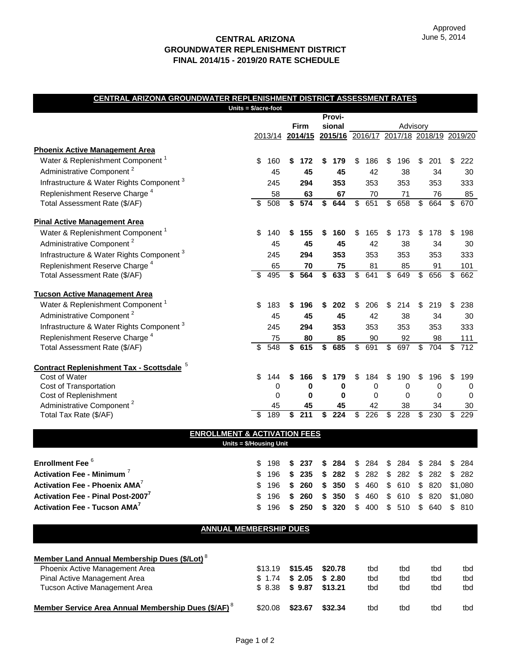## **CENTRAL ARIZONA GROUNDWATER REPLENISHMENT DISTRICT FINAL 2014/15 - 2019/20 RATE SCHEDULE**

## **CENTRAL ARIZONA GROUNDWATER REPLENISHMENT DISTRICT ASSESSMENT RATES**

|                                                                                            | Units = $$/acre$ -foot        |           |             |                              |                 |                          |                                                     |                         |           |    |           |                          |            |
|--------------------------------------------------------------------------------------------|-------------------------------|-----------|-------------|------------------------------|-----------------|--------------------------|-----------------------------------------------------|-------------------------|-----------|----|-----------|--------------------------|------------|
|                                                                                            |                               |           |             |                              | Provi-          |                          |                                                     |                         |           |    |           |                          |            |
|                                                                                            | 2013/14 2014/15               |           | <b>Firm</b> |                              | sional          |                          | Advisory<br>2015/16 2016/17 2017/18 2018/19 2019/20 |                         |           |    |           |                          |            |
|                                                                                            |                               |           |             |                              |                 |                          |                                                     |                         |           |    |           |                          |            |
| <b>Phoenix Active Management Area</b>                                                      |                               |           |             |                              |                 |                          |                                                     |                         |           |    |           |                          |            |
| Water & Replenishment Component <sup>1</sup>                                               | \$                            | 160       | \$          | 172                          | \$<br>179       | \$                       | 186                                                 | \$                      | 196       | \$ | 201       | \$                       | 222        |
| Administrative Component <sup>2</sup>                                                      |                               | 45        |             | 45                           | 45              |                          | 42                                                  |                         | 38        |    | 34        |                          | 30         |
| Infrastructure & Water Rights Component <sup>3</sup>                                       |                               | 245       |             | 294                          | 353             |                          | 353                                                 |                         | 353       |    | 353       |                          | 333        |
| Replenishment Reserve Charge <sup>4</sup>                                                  |                               | 58        |             | 63                           | 67              |                          | 70                                                  |                         | 71        |    | 76        |                          | 85         |
| Total Assessment Rate (\$/AF)                                                              | \$                            | 508       | \$          | 574                          | \$<br>644       | $\overline{\mathcal{S}}$ | 651                                                 | $\overline{\mathbf{e}}$ | 658       | \$ | 664       | $\overline{\mathcal{S}}$ | 670        |
| <b>Pinal Active Management Area</b>                                                        |                               |           |             |                              |                 |                          |                                                     |                         |           |    |           |                          |            |
| Water & Replenishment Component <sup>1</sup>                                               | \$                            | 140       | \$          | 155                          | \$<br>160       | \$                       | 165                                                 | \$                      | 173       | \$ | 178       | \$                       | 198        |
| Administrative Component <sup>2</sup>                                                      |                               | 45        |             | 45                           | 45              |                          | 42                                                  |                         | 38        |    | 34        |                          | 30         |
| Infrastructure & Water Rights Component <sup>3</sup>                                       |                               | 245       |             | 294                          | 353             |                          | 353                                                 |                         | 353       |    | 353       |                          | 333        |
| Replenishment Reserve Charge <sup>4</sup>                                                  |                               | 65        |             | 70                           | 75              |                          | 81                                                  |                         | 85        |    | 91        |                          | 101        |
| Total Assessment Rate (\$/AF)                                                              | \$                            | 495       | \$          | 564                          | \$<br>633       | \$                       | 641                                                 | \$                      | 649       | \$ | 656       | \$                       | 662        |
| <b>Tucson Active Management Area</b>                                                       |                               |           |             |                              |                 |                          |                                                     |                         |           |    |           |                          |            |
| Water & Replenishment Component <sup>1</sup>                                               | \$                            | 183       | \$          | 196                          | \$<br>202       | \$                       | 206                                                 | \$                      | 214       | \$ | 219       | S                        | 238        |
| Administrative Component <sup>2</sup>                                                      |                               | 45        |             | 45                           | 45              |                          | 42                                                  |                         | 38        |    | 34        |                          | 30         |
| Infrastructure & Water Rights Component <sup>3</sup>                                       |                               | 245       |             | 294                          | 353             |                          | 353                                                 |                         | 353       |    | 353       |                          | 333        |
| Replenishment Reserve Charge <sup>4</sup>                                                  |                               |           |             |                              |                 |                          |                                                     |                         |           |    |           |                          |            |
| Total Assessment Rate (\$/AF)                                                              | \$                            | 75<br>548 | \$          | 80<br>615                    | \$<br>85<br>685 | \$                       | 90<br>691                                           | \$                      | 92<br>697 | \$ | 98<br>704 | \$                       | 111<br>712 |
|                                                                                            |                               |           |             |                              |                 |                          |                                                     |                         |           |    |           |                          |            |
| <b>Contract Replenishment Tax - Scottsdale 5</b>                                           |                               |           |             |                              |                 |                          |                                                     |                         |           |    |           |                          |            |
| Cost of Water                                                                              | \$                            | 144       | \$          | 166                          | \$<br>179       | \$                       | 184                                                 | \$                      | 190       | \$ | 196       | \$                       | 199        |
| Cost of Transportation                                                                     |                               | 0         |             | $\bf{0}$                     | 0               |                          | $\mathbf 0$                                         |                         | 0         |    | 0         |                          | 0          |
| Cost of Replenishment                                                                      |                               | 0         |             | $\bf{0}$                     | 0               |                          | 0                                                   |                         | 0         |    | 0         |                          | 0          |
| Administrative Component <sup>2</sup>                                                      |                               | 45        |             | 45                           | 45              |                          | 42                                                  |                         | 38        |    | 34        |                          | 30         |
| Total Tax Rate (\$/AF)                                                                     | \$                            | 189       | \$          | $\overline{211}$             | \$<br>224       | \$                       | 226                                                 | \$                      | 228       | \$ | 230       | \$                       | 229        |
| <b>ENROLLMENT</b>                                                                          |                               |           |             | <b>&amp; ACTIVATION FEES</b> |                 |                          |                                                     |                         |           |    |           |                          |            |
|                                                                                            | Units = \$/Housing Unit       |           |             |                              |                 |                          |                                                     |                         |           |    |           |                          |            |
| Enrollment Fee <sup>6</sup>                                                                | \$                            | 198       |             | 237                          | 284             |                          | 284                                                 |                         | 284       |    | 284       |                          | 284        |
| Activation Fee - Minimum <sup>7</sup>                                                      | \$                            | 196       | \$          | 235                          | \$<br>282       | \$                       | 282                                                 | \$                      | 282       | \$ | 282       | \$                       | 282        |
| Activation Fee - Phoenix AMA                                                               | \$                            | 196       | \$          | 260                          | \$<br>350       | \$                       | 460                                                 | \$                      | 610       | \$ | 820       |                          | \$1,080    |
| Activation Fee - Pinal Post-2007                                                           | \$                            | 196       | \$          | 260                          | \$<br>350       | \$                       | 460                                                 | \$                      | 610       | \$ | 820       |                          | \$1,080    |
| <b>Activation Fee - Tucson AMA<sup>7</sup></b>                                             | \$                            | 196       | \$          | 250                          | \$<br>320       | \$                       | 400                                                 | $\mathbb{S}$            | 510       | \$ | 640       |                          | \$810      |
|                                                                                            |                               |           |             |                              |                 |                          |                                                     |                         |           |    |           |                          |            |
|                                                                                            | <b>ANNUAL MEMBERSHIP DUES</b> |           |             |                              |                 |                          |                                                     |                         |           |    |           |                          |            |
|                                                                                            |                               |           |             |                              |                 |                          |                                                     |                         |           |    |           |                          |            |
| Member Land Annual Membership Dues (\$/Lot) <sup>8</sup><br>Phoenix Active Management Area |                               | \$13.19   |             | \$15.45                      | \$20.78         |                          | tbd                                                 |                         | tbd       |    | tbd       |                          | tbd        |
| Pinal Active Management Area                                                               |                               | \$1.74    |             | \$2.05                       | \$2.80          |                          | tbd                                                 |                         | tbd       |    | tbd       |                          | tbd        |

**Member Service Area Annual Membership Dues (\$/AF)<sup>8</sup> \$20.08 \$23.67 \$32.34** tbd tbd tbd tbd tbd

Tucson Active Management Area 8.38 \$ **\$ 13.21 9.87 \$** tbd tbd tbd tbd